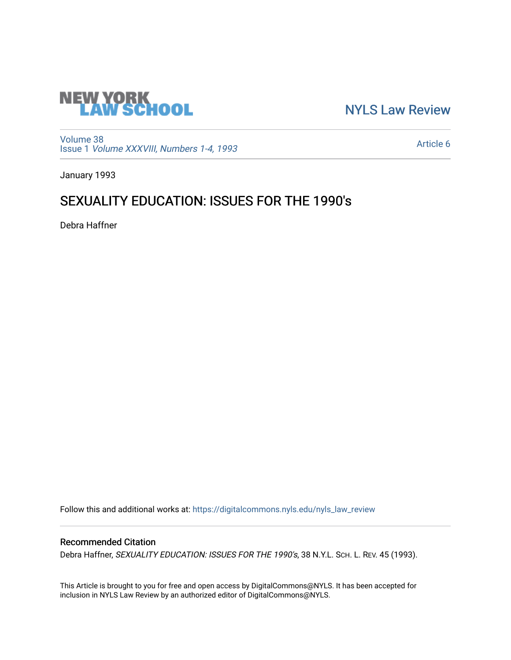

[NYLS Law Review](https://digitalcommons.nyls.edu/nyls_law_review) 

[Volume 38](https://digitalcommons.nyls.edu/nyls_law_review/vol38) Issue 1 [Volume XXXVIII, Numbers 1-4, 1993](https://digitalcommons.nyls.edu/nyls_law_review/vol38/iss1)

[Article 6](https://digitalcommons.nyls.edu/nyls_law_review/vol38/iss1/6) 

January 1993

# SEXUALITY EDUCATION: ISSUES FOR THE 1990's

Debra Haffner

Follow this and additional works at: [https://digitalcommons.nyls.edu/nyls\\_law\\_review](https://digitalcommons.nyls.edu/nyls_law_review?utm_source=digitalcommons.nyls.edu%2Fnyls_law_review%2Fvol38%2Fiss1%2F6&utm_medium=PDF&utm_campaign=PDFCoverPages) 

## Recommended Citation

Debra Haffner, SEXUALITY EDUCATION: ISSUES FOR THE 1990's, 38 N.Y.L. SCH. L. REV. 45 (1993).

This Article is brought to you for free and open access by DigitalCommons@NYLS. It has been accepted for inclusion in NYLS Law Review by an authorized editor of DigitalCommons@NYLS.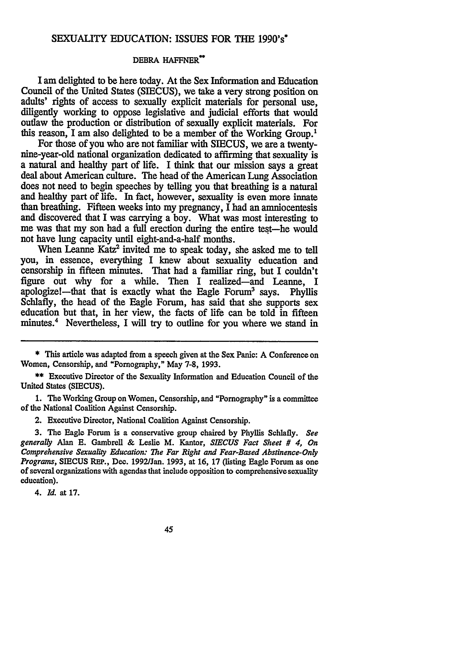### **SEXUALITY EDUCATION: ISSUES** FOR **THE 1990's\***

#### **DEBRA HAFFNER<sup>\*\*</sup>**

I am delighted to be here today. At the Sex Information and Education Council of the United States **(SIECUS),** we take a very strong position on adults' rights of access to sexually explicit materials for personal use, diligently working to oppose legislative and judicial efforts that would outlaw the production or distribution of sexually explicit materials. For this reason, I am also delighted to be a member of the Working Group.1

For those of you who are not familiar with **SIECUS,** we are a twentynine-year-old national organization dedicated to affirming that sexuality is a natural and healthy part of life. I think that our mission says a great deal about American culture. The head of the American Lung Association does not need to begin speeches **by** telling you that breathing is a natural and healthy part of life. In fact, however, sexuality is even more innate than breathing. Fifteen weeks into my pregnancy, I **had** an amniocentesis and discovered that I was carrying a boy. What was most interesting to me was that my son had a full erection during the entire test—he would not have lung capacity until eight-and-a-half months.

When Leanne Katz<sup>2</sup> invited me to speak today, she asked me to tell you, in essence, everything I knew about sexuality education and censorship in fifteen minutes. That had a familiar ring, but I couldn't figure out why for a while. Then I realized-and Leanne, I apologize!—that that is exactly what the Eagle Forum<sup>3</sup> says. Phyllis Schlafly, the head of the Eagle Forum, has said that she supports sex education but that, in her view, the facts of life can be told in fifteen minutes.4 Nevertheless, I will try to outline for you where we stand in

**1.** The Working Group on Women, Censorship, and "Pornography" is a committee of the National Coalition Against Censorship.

2. Executive Director, National Coalition Against Censorship.

**3.** The Eagle Forum is a conservative group chaired **by** Phyllis Schlafly. *See generally* Alan **E.** Gambrell **&** Leslie M. Kantor, *SIECUS Fact Sheet # 4, On Comprehensive Sexuality Education: The Far Right and Fear-Based Abstinence-Only Programs,* SIECUS **REP.,** Dec. 1992/Jan. 1993, at **16,** 17 (listing Eagle Forum as one of several organizations with agendas that include opposition to comprehensive sexuality education).

4. *Id.* at 17.

45

<sup>\*</sup> This article was adapted from a speech given at the Sex Panic: A Conference on Women, Censorship, and "Pornography," May 7-8, 1993.

<sup>\*\*</sup> Executive Director of the Sexuality Information and Education Council of the United States **(SIECUS).**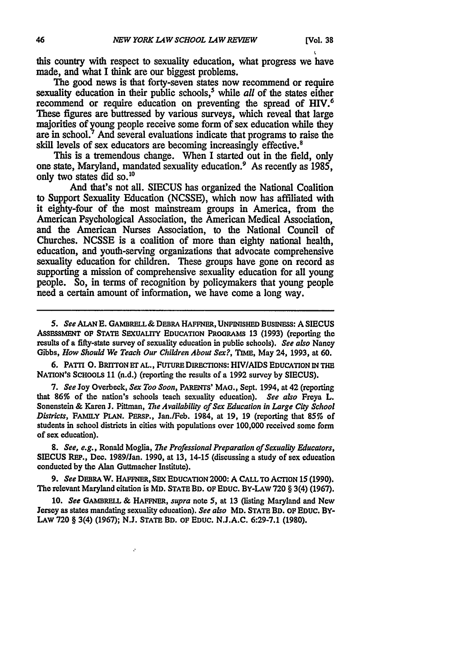this country with respect to sexuality education, what progress we have made, and what I think are our biggest problems.

The good news is that forty-seven states now recommend or require sexuality education in their public schools,<sup>5</sup> while *all* of the states either recommend or require education on preventing the spread of HIV. These figures are buttressed **by** various surveys, which reveal that large majorities of young people receive some form of sex education while they are in school.7 And several evaluations indicate that programs to raise the skill levels of sex educators are becoming increasingly effective.<sup>8</sup>

This is a tremendous change. When I started out in the field, only one state, Maryland, mandated sexuality education.9 As recently as **1985,** only two states did so.<sup>10</sup>

" And that's not all. **SIECUS** has organized the National Coalition to Support Sexuality Education **(NCSSE),** which now has affiliated with it eighty-four of the most mainstream groups in America, from the American Psychological Association, the American Medical Association, and the American Nurses Association, to the National Council of Churches. **NCSSE** is a coalition of more than eighty national health, education, and youth-serving organizations that advocate comprehensive sexuality education for children. These groups have gone on record as supporting a mission of comprehensive sexuality education for all young people. So, in terms of recognition **by** policymakers that young people need a certain amount of information, we have come a long way.

*5. See ALAN* **E.** GAMBRELL& DEBRA HAFFNER, UNFINISHED **BUSINESS: A SIECUS** ASSEssMENT **OF STATE** SEXUALITY **EDUCATION PROGRAMS 13 (1993)** (reporting the results of a fifty-state survey of sexuality education in public schools). *See also* Nancy Gibbs, *How Should We Teach Our Children About Sex?, TIME,* May 24, **1993,** at **60.**

**6.** PATri **0.** BRITTON Er **AL.,** FUTURE DIRECTIONS: **HIV/AIDS EDUCATION** IN THE NATION'S **SCHOOLS 11** (n.d.) (reporting the results of a **1992** survey **by SIECUS).**

**7.** *See* Joy Overbeck, *Sex Too Soon,* **PARENTS'** MAO., Sept. 1994, at 42 (reporting that **86%** of the nation's schools teach sexuality education). *See also* Freya L. Sonenstein **&** Karen **J.** Pittman, *The Availability of Sex Education in Large City School Districts,* **FAMILY PLAN. PERSP.,** Jan./Feb. 1984, at 19, 19 (reporting that *85%* of students in school districts in cities with populations over **100,000** received some form of sex education).

*8. See, e.g.,* Ronald Moglia, *The Professional Preparation of Sexuality Educators,* **SIECUS** REP., Dec. 1989/Jan. 1990, at 13, 14-15 (discussing a study of sex education conducted **by** the Alan Guttmacher Institute).

**9.** *See* DEBRA W. HAFFNER, **SEX EDUCATION** 2000: **A CALL** TO ACTION **15 (1990).** The relevant Maryland citation is MD. **STATE** BD. OF EDUC. BY-LAW **720** § 3(4) **(1967).**

**10.** *See* **GAMBRELL &** HAFFNER, *supra* note **5,** at 13 (listing Maryland and New Jersey as states mandating sexuality education). *See also* MD. **STATE** BD. OF **EDUC.** BY-**LAW 720** § 3(4) **(1967); N.J. STATE** BD. **OF EDUC. N.J.A.C. 6:29-7.1 (1980).**

ż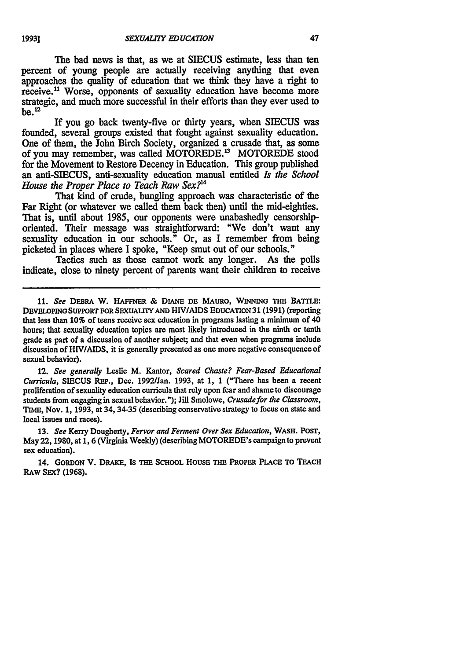The bad news is that, as we at **SIECUS** estimate, less **than** ten percent of young people are actually receiving anything that even approaches the quality of education that we think they have a right to receive.<sup>11</sup> Worse, opponents of sexuality education have become more strategic, and much more successful in their efforts than they ever used to **be.12**

If you go back twenty-five or thirty years, when **SIECUS** was founded, several groups existed that fought against sexuality education. One of them, the John Birch Society, organized a crusade that, as some of you may remember, was called MOTOREDE.13 MOTOREDE stood for the Movement to Restore Decency in Education. This group published an anti-SIECUS, anti-sexuality education manual entitled *Is the School House the Proper Place to Teach Raw Sex? <sup>4</sup>*

That kind of crude, bungling approach was characteristic of the Far Right (or whatever we called them back then) until the mid-eighties. That is, until about **1985,** our opponents were unabashedly censorshiporiented. Their message was straightforward: "We don't want any sexuality education in our schools." Or, as **I** remember from being picketed in places where **I** spoke, "Keep smut out of our schools."

Tactics such as those cannot work any longer. As the polls indicate, close to ninety percent of parents want their children to receive

*11. See* **DEBRA** W. **HAFFNER & DIANE DE** MAURO, WINNING **THE BATTLE: DEVELOPING SUPPORT FOR SEXUALITY AND** *HIV/AIDS* **EDUCATION 31 (1991)** (reporting that less than **10%** of teens receive sex education in programs lasting a minimum of 40 hours; that sexuality education topics are most likely introduced in the ninth or tenth grade as part of a discussion of another subject; and that even when programs include discussion of *HIV/AIDS,* it is generally presented as one more negative consequence of sexual behavior).

12. See generally Leslie M. Kantor, *Scared Chaste? Fear-Based Educational* Curricula, **SIECUS** RE'., Dec. 1992/Jan. 1993, at 1, 1 ("There has been **a** recent proliferation of sexuality education curricula that rely upon fear and shame to discourage students from engaging in sexual behavior."); **Jill** Smolowe, *Crusadefor the Classroom,* **TIME,** Nov. **1,** 1993, at 34, 34-35 (describing conservative strategy to focus on state and local issues and races).

13. *See* Kerry Dougherty, *Fervor and Ferment Over Sex Education,* **WASH. POST,** May 22, **1980,** at 1, 6 (Virginia Weekly) (describing MOTOREDE's campaign to prevent sex education).

14. **GORDON** V. DRAKE, **IS THE SCHOOL** HousE **THE PROPER PLACE TO TEACH RAW SEX? (1968).**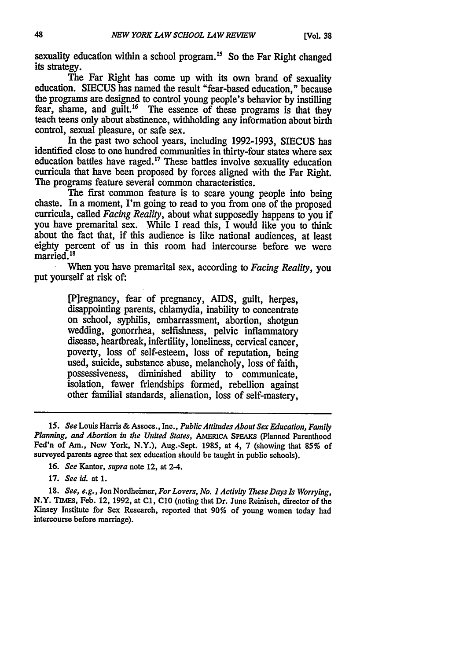sexuality education within a school program.<sup>15</sup> So the Far Right changed its strategy.

The Far Right has come up with its own brand of sexuality education. **SIECUS** has named the result "fear-based education," because the programs are designed to control young people's behavior by instilling fear, shame, and guilt.<sup>16</sup> The essence of these programs is that they teach teens only about abstinence, withholding any information about birth control, sexual pleasure, or safe sex.

In the past two school years, including 1992-1993, **SIECUS** has identified close to one hundred communities in thirty-four states where sex education battles have raged.'" These battles involve sexuality education curricula that have been proposed **by** forces aligned with the Far Right. The programs feature several common characteristics.

The first common feature is to scare young people into being chaste. In a moment, I'm going to read to you from one of the proposed curricula, called *Facing Reality,* about what supposedly happens to you if you have premarital sex. While I read this, I would like you to think about the fact that, if this audience is like national audiences, at least eighty percent of us in this room had intercourse before we were married.<sup>18</sup>

When you have premarital sex, according to *Facing Reality,* you put yourself at risk of:

> [P]regnancy, fear of pregnancy, AIDS, guilt, herpes, disappointing parents, chlamydia, inability to concentrate on school, syphilis, embarrassment, abortion, shotgun wedding, gonorrhea, selfishness, pelvic inflammatory disease, heartbreak, infertility, loneliness, cervical cancer, poverty, loss of self-esteem, loss of reputation, being used, suicide, substance abuse, melancholy, loss of faith, possessiveness, diminished ability to communicate, isolation, fewer friendships formed, rebellion against other familial standards, alienation, loss of self-mastery,

**18.** See, *e.g.,* Jon Nordheimer, *For Lovers, No. 1 Activity These Days Is Worrying,* N.Y. TIMEs, Feb. 12, **1992,** at **C1, C10** (noting that Dr. June Reinisch, director of the Kinsey Institute for Sex Research, reported that *90%* of young women today had intercourse before marriage).

*<sup>15.</sup> See* Louis Harris & Assocs., Inc., *Public Attitudes About Sex Education, Family* **Planning,** *and* **Abortion** *in* **the United States, AMERICA SPEAKS** (Planned Parenthood Fed'n of **Am.,** New York, N.Y.), Aug.-Sept. **1985,** at 4, **7** (showing that *85%* of surveyed parents agree that sex education should be taught in public schools).

**<sup>16.</sup>** *See* Kantor, supra note 12, at 2-4.

**<sup>17.</sup>** See *id.* at **1.**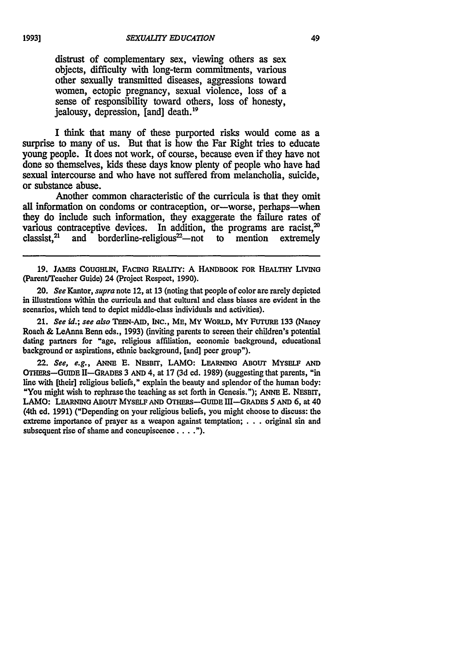distrust of complementary sex, viewing others as sex objects, difficulty with long-term commitments, various other sexually transmitted diseases, aggressions toward women, ectopic pregnancy, sexual violence, loss of a sense of responsibility toward others, loss of honesty, jealousy, depression, [and] death.<sup>19</sup>

I think that many of these purported risks would come as a surprise to many of us. But that is how the Far Right tries to educate young people. It does not work, of course, because even if they have not done so themselves, kids these days know plenty of people who have had sexual intercourse and who have not suffered from melancholia, suicide, or substance abuse.

Another common characteristic of the curricula is that they omit all information on condoms or contraception, or-worse, perhaps-when they do include such information, they exaggerate the failure rates of various contraceptive devices. In addition, the programs are racist,<sup>20</sup> various contraceptive devices. classist,<sup>21</sup> and borderline-religious<sup>22</sup>—not to mention extremely

**19. JAMES COUGHLIN, FACING REALITY: A HANDBOOK FOR HEALTHY** LIVING (Parent/Teacher Guide) 24 (Project Respect, **1990).**

20. *See* Kantor, *supra* note 12, at **13** (noting that people of color are rarely depicted in illustrations within the curricula and that cultural and class biases are evident in the scenarios, which tend to depict middle-class individuals and activities).

21. *See id.; see also* TEEN-AID, **INC.,** ME, MY WORLD, MY FUTURE **133** (Nancy Roach & LeAnna Berm eds., 1993) (inviting parents to screen their children's potential dating partners for "age, religious affiliation, economic background, educational background or aspirations, ethnic background, [and] peer group").

22. *See, e.g.,* **ANNE E. NESBIT,** LAMO: **LEARNING** ABOUT MYSELF **AND** OTHERs-GUIDE II-GRADEs 3 **AND** 4, at **17 (3d** ed. 1989) (suggesting that parents, "in line with [their] religious beliefs," explain the beauty and splendor of the human **body:** "You might wish to rephrase the teaching as set forth in Genesis."); ANNE **E.** NESBIT, LAMO: LEARNING ABOUT MYSELF **AND** OTHERS-GUIDE Ill-GRADEs **5 AND 6,** at 40 (4th ed. **1991)** ("Depending on your religious beliefs, you might choose to discuss: the extreme importance of prayer as a weapon against temptation; . . . original sin and subsequent rise of shame and concupiscence . . . . ").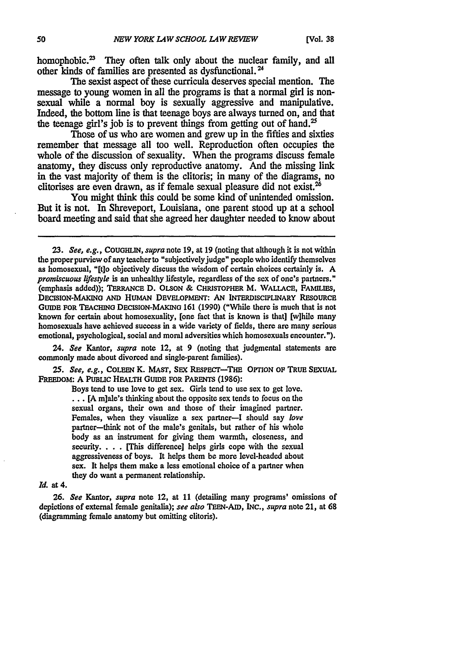homophobic.<sup>23</sup> They often talk only about the nuclear family, and all other kinds of families are presented as dysfunctional. **I**

The sexist aspect of these curricula deserves special mention. The message to young women in all the programs is that a normal girl is nonsexual while a normal boy is sexually aggressive and manipulative. Indeed, the bottom line is that teenage boys are always turned on, and that the teenage girl's **job** is to prevent things from getting out of hand.'

Those of us who are women and grew up in the fifties and sixties remember that message all too well. Reproduction often occupies the whole of the discussion of sexuality. When the programs discuss female anatomy, they discuss only reproductive anatomy. And the missing link in the vast majority of them is the clitoris; in many of the diagrams, no clitorises are even drawn, as if female sexual pleasure did not exist.<sup>26</sup>

You might think this could be some kind of unintended omission. But it is not. In Shreveport, Louisiana, one parent stood up at a school board meeting and said that she agreed her daughter needed to know about

24. *See* Kantor, *supra* note 12, at **9** (noting that judgmental statements are commonly made about divorced and single-parent families).

*25. See, e.g.,* **COLEEN** K. **MAST, SEX RESPECt-THE OPTION OF TRUE SEXUAL FREEDOM: A PUBLIC HEALTH GUIDE FOR PARENTS (1986):**

> Boys tend to use love to get sex. Girls tend to use sex to get love. **... [A** m]ale's thinking about the opposite sex tends to focus on the sexual organs, their own and those of their imagined partner. Females, when they visualize a sex partner-I should say *love* partner-think not of the male's genitals, but rather of his whole body as an instrument for giving them warmth, closeness, and security. . **.** . **[This** difference] helps girls cope with the sexual aggressiveness of boys. It helps them be more level-headed about sex. It helps them make a less emotional choice of a partner when they do want a permanent relationship.

#### *Id.* at 4.

**26.** *See* Kantor, *supra* note 12, at 11 (detailing many programs' omissions of depictions of external female genitalia); *see also TEEN-AiD,* INC., *supra* note 21, at 68 (diagramming female anatomy but omitting clitoris).

*<sup>23.</sup> See, e.g.,* **COUGHLIN,** *supra* note **19,** at **19** (noting that although it is not within the proper purview of any teacher to "subjectively judge" people who identify themselves as homosexual, "[t]o objectively discuss the wisdom of certain choices certainly is. A *promiscuous lifestyle* is an unhealthy lifestyle, regardless of the sex of one's partners." (emphasis added)); **TERRANCE D.** OLSON **& CHRISTOPHER M. WALLACE,** FAMILIES, **DECISION-MAXiNO AND** HUMAN DEVELOPMENT: **AN** INTERDISCIPLINARY **RESOURCE** GUIDE FOR TEACHING DECISION-MAKING 161 (1990) ("While there is much that is not known for certain about homosexuality, [one fact that is known is that] [w]hile many homosexuals have achieved success in a wide variety of fields, there are many serious emotional, psychological, social and moral adversities which homosexuals encounter.").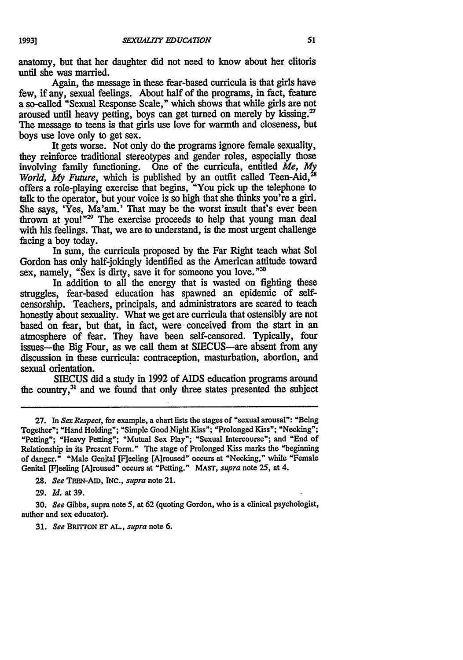anatomy, but that her daughter did not need to know about her clitoris until she was married.

Again, the message in these fear-based curricula is that girls have few, if any, sexual feelings. About half of the programs, in fact, feature a so-called "Sexual Response Scale," which shows that while girls are not aroused until heavy petting, boys can get turned on merely by kissing.<sup>27</sup> The message to teens is that girls use love for warmth and closeness, but boys use love only to get sex.

It gets worse. Not only do the programs ignore female sexuality, they reinforce traditional stereotypes and gender roles, especially those involving family functioning. One of the curricula, entitled *Me,* **My** *World, My Future, which is published by an outfit called Teen-Aid,*<sup>28</sup> offers a role-playing exercise that begins, "You pick up the telephone to talk to the operator, but your voice is so high that she thinks you're a girl. She says, 'Yes, Ma'am.' That may be the worst insult that's ever been thrown at you!" $29$  The exercise proceeds to help that young man deal with his feelings. That, we are to understand, is the most urgent challenge facing a boy today.

In sum, the curricula proposed by the Far Right teach what Sol Gordon has only half-jokingly identified as the American attitude toward sex, namely, "Sex is dirty, save it for someone you love."30

In addition to all the energy that is wasted on fighting these struggles, fear-based education has spawned an epidemic of selfcensorship. Teachers, principals, and administrators are seared to teach honestly about sexuality. What we get are curricula that ostensibly are not based on fear, but that, in fact, were conceived from the start in an atmosphere of fear. They have been self-censored. Typically, four issues-the Big Four, as we call them at SIECUS-are absent from any discussion in these curricula: contraception, masturbation, abortion, and sexual orientation.

**SIECUS** did a study in 1992 of AIDS education programs around the country,<sup>31</sup> and we found that only three states presented the subject

**28.** *See* **TEE-AID, INC.,** *supra* note 21.

**29.** *Id.* at 39.

30. *See* Gibbs, supra note **5,** at 62 (quoting Gordon, who is a clinical psychologist, author and sex educator).

31. *See* BRrrrON **E" AL.,** *supra* note 6.

**<sup>27.</sup>** In *Sex Respect,* for example, a chart lists the stages of "sexual arousal": "Being Together"; "Hand Holding"; "Simple Good Night Kiss"; "Prolonged Kiss"; "Necking"; "Petting"; "Heavy Petting"; "Mutual Sex Play"; "Sexual Intercourse"; and "End of Relationship in its Present Form." The stage of Prolonged Kiss marks the "beginning of danger." "Male Genital [F]eeling [A]roused" occurs at "Necking," while "Female Genital [F]eeling [A]roused" occurs at "Petting." MAST, *supra* note 25, at 4.